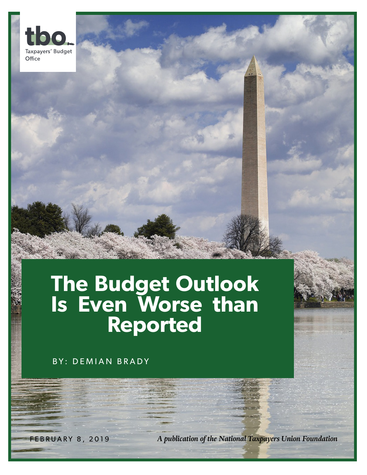

## **The Budget Outlook Is Even Worse than Reported**

BY: DEMIAN BRADY

FEBRUARY 8, 2019 *A publication of the National Taxpayers Union Foundation*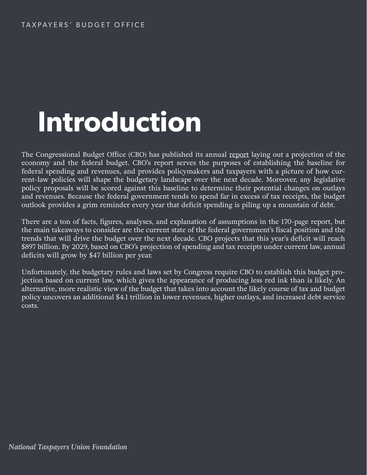# **Introduction**

The Congressional Budget Office (CBO) has published its annual [report](https://www.cbo.gov/system/files?file=2019-01/54918-Outlook.pdf) laying out a projection of the economy and the federal budget. CBO's report serves the purposes of establishing the baseline for federal spending and revenues, and provides policymakers and taxpayers with a picture of how current-law policies will shape the budgetary landscape over the next decade. Moreover, any legislative policy proposals will be scored against this baseline to determine their potential changes on outlays and revenues. Because the federal government tends to spend far in excess of tax receipts, the budget outlook provides a grim reminder every year that deficit spending is piling up a mountain of debt.

There are a ton of facts, figures, analyses, and explanation of assumptions in the 170-page report, but the main takeaways to consider are the current state of the federal government's fiscal position and the trends that will drive the budget over the next decade. CBO projects that this year's deficit will reach \$897 billion. By 2029, based on CBO's projection of spending and tax receipts under current law, annual deficits will grow by \$47 billion per year.

Unfortunately, the budgetary rules and laws set by Congress require CBO to establish this budget projection based on current law, which gives the appearance of producing less red ink than is likely. An alternative, more realistic view of the budget that takes into account the likely course of tax and budget policy uncovers an additional \$4.1 trillion in lower revenues, higher outlays, and increased debt service costs.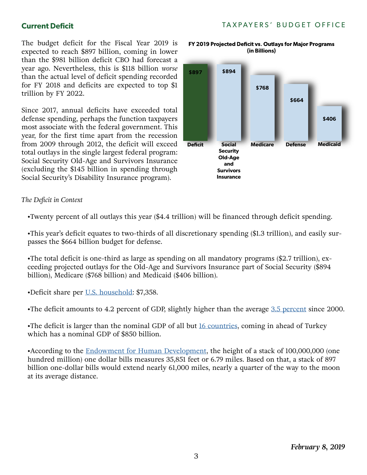#### **Current Deficit**

TAXPAYERS' BUDGET OFFICE

The budget deficit for the Fiscal Year 2019 is expected to reach \$897 billion, coming in lower than the \$981 billion deficit CBO had forecast a year ago. Nevertheless, this is \$118 billion *worse* than the actual level of deficit spending recorded for FY 2018 and deficits are expected to top \$1 trillion by FY 2022.

Since 2017, annual deficits have exceeded total defense spending, perhaps the function taxpayers most associate with the federal government. This year, for the first time apart from the recession from 2009 through 2012, the deficit will exceed total outlays in the single largest federal program: Social Security Old-Age and Survivors Insurance (excluding the \$145 billion in spending through Social Security's Disability Insurance program).

#### *The Deficit in Context*

•Twenty percent of all outlays this year (\$4.4 trillion) will be financed through deficit spending.

•This year's deficit equates to two-thirds of all discretionary spending (\$1.3 trillion), and easily surpasses the \$664 billion budget for defense.

•The total deficit is one-third as large as spending on all mandatory programs (\$2.7 trillion), exceeding projected outlays for the Old-Age and Survivors Insurance part of Social Security (\$894 billion), Medicare (\$768 billion) and Medicaid (\$406 billion).

•Deficit share per <u>U.S. household</u>: \$7,358.

•The deficit amounts to 4.2 percent of GDP, slightly higher than the average [3.5 percent](https://www.whitehouse.gov/wp-content/uploads/2018/02/hist01z2-fy2019.xlsx) since 2000.

•The deficit is larger than the nominal GDP of all but [16 countries](https://www.investopedia.com/insights/worlds-top-economies/), coming in ahead of Turkey which has a nominal GDP of \$850 billion.

•According to the [Endowment for Human Development](http://www.ehd.org/science_technology_largenumbers.php), the height of a stack of 100,000,000 (one hundred million) one dollar bills measures 35,851 feet or 6.79 miles. Based on that, a stack of 897 billion one-dollar bills would extend nearly 61,000 miles, nearly a quarter of the way to the moon at its average distance.



**(in Billions)**

FY 2019 Projected Deficit vs. Outlays for Major Programs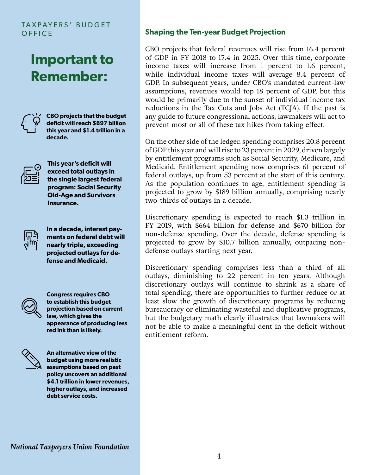#### TAXPAYERS' BUDGET **OFFICE**

### **Important to Remember:**



**CBO projects that the budget deficit will reach \$897 billion this year and \$1.4 trillion in a decade.**



**This year's deficit will exceed total outlays in the single largest federal program: Social Security Old-Age and Survivors Insurance.**



**In a decade, interest payments on federal debt will nearly triple, exceeding projected outlays for defense and Medicaid.**

**Congress requires CBO to establish this budget projection based on current law, which gives the appearance of producing less red ink than is likely.**



**An alternative view of the budget using more realistic assumptions based on past policy uncovers an additional \$4.1 trillion in lower revenues, higher outlays, and increased debt service costs.**

#### **Shaping the Ten-year Budget Projection**

CBO projects that federal revenues will rise from 16.4 percent of GDP in FY 2018 to 17.4 in 2025. Over this time, corporate income taxes will increase from 1 percent to 1.6 percent, while individual income taxes will average 8.4 percent of GDP. In subsequent years, under CBO's mandated current-law assumptions, revenues would top 18 percent of GDP, but this would be primarily due to the sunset of individual income tax reductions in the Tax Cuts and Jobs Act (TCJA). If the past is any guide to future congressional actions, lawmakers will act to prevent most or all of these tax hikes from taking effect.

On the other side of the ledger, spending comprises 20.8 percent of GDP this year and will rise to 23 percent in 2029, driven largely by entitlement programs such as Social Security, Medicare, and Medicaid. Entitlement spending now comprises 61 percent of federal outlays, up from 53 percent at the start of this century. As the population continues to age, entitlement spending is projected to grow by \$189 billion annually, comprising nearly two-thirds of outlays in a decade.

Discretionary spending is expected to reach \$1.3 trillion in FY 2019, with \$664 billion for defense and \$670 billion for non-defense spending. Over the decade, defense spending is projected to grow by \$10.7 billion annually, outpacing nondefense outlays starting next year.

Discretionary spending comprises less than a third of all outlays, diminishing to 22 percent in ten years. Although discretionary outlays will continue to shrink as a share of total spending, there are opportunities to further reduce or at least slow the growth of discretionary programs by reducing bureaucracy or eliminating wasteful and duplicative programs, but the budgetary math clearly illustrates that lawmakers will not be able to make a meaningful dent in the deficit without entitlement reform.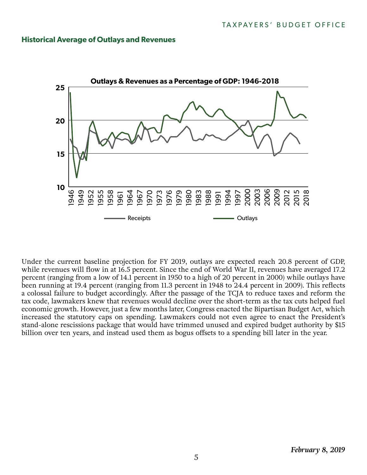#### **Historical Average of Outlays and Revenues**



Under the current baseline projection for FY 2019, outlays are expected reach 20.8 percent of GDP, while revenues will flow in at 16.5 percent. Since the end of World War II, revenues have averaged 17.2 percent (ranging from a low of 14.1 percent in 1950 to a high of 20 percent in 2000) while outlays have been running at 19.4 percent (ranging from 11.3 percent in 1948 to 24.4 percent in 2009). This reflects a colossal failure to budget accordingly. After the passage of the TCJA to reduce taxes and reform the tax code, lawmakers knew that revenues would decline over the short-term as the tax cuts helped fuel economic growth. However, just a few months later, Congress enacted the Bipartisan Budget Act, which increased the statutory caps on spending. Lawmakers could not even agree to enact the President's stand-alone rescissions package that would have trimmed unused and expired budget authority by \$15 billion over ten years, and instead used them as bogus offsets to a spending bill later in the year.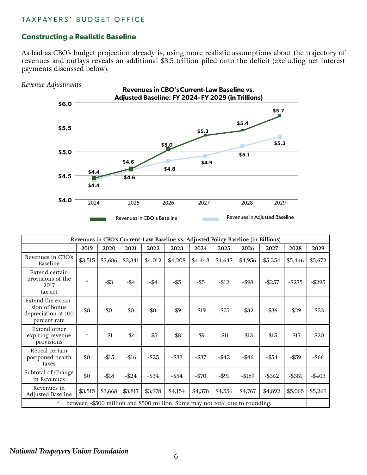#### TAXPAYERS' BUDGET OFFICE

#### **Constructing a Realistic Baseline**

As bad as CBO's budget projection already is, using more realistic assumptions about the trajectory of revenues and outlays reveals an additional \$3.5 trillion piled onto the deficit (excluding net interest payments discussed below).

*Revenue Adjustments*



| Revenues in CBO's Current-Law Baseline vs. Adjusted Policy Baseline (in Billions) |                                   |         |          |          |          |          |          |          |           |           |           |
|-----------------------------------------------------------------------------------|-----------------------------------|---------|----------|----------|----------|----------|----------|----------|-----------|-----------|-----------|
|                                                                                   | 2019                              | 2020    | 2021     | 2022     | 2023     | 2024     | 2025     | 2026     | 2027      | 2028      | 2029      |
| Revenues in CBO's<br>Baseline                                                     | \$3,515                           | \$3,686 | \$3,841  | \$4,012  | \$4,208  | \$4,448  | \$4,647  | \$4,956  | \$5,254   | \$5,446   | \$5,672   |
| Extend certain<br>provisions of the<br>2017<br>tax act                            | $\frac{d\mathbf{r}}{d\mathbf{r}}$ | $-$ \$3 | $-$ \$4  | $-$ \$4  | $-$ \$5  | $-$ \$5  | $-$12$   | $-$ \$98 | $-$ \$257 | $-$275$   | $-$ \$295 |
| Extend the expan-<br>sion of bonus<br>depreciation at 100<br>percent rate         | \$0                               | \$0     | \$0      | \$0      | $-$ \$9  | $-$19$   | $-$ \$27 | $-$ \$32 | $-$ \$36  | $-$ \$29  | $-$ \$23  |
| Extend other<br>expiring revenue<br>provisions                                    | $\frac{1}{25}$                    | $-$1$   | $-$ \$4  | $-$ \$5  | $-$ \$8  | $-$ \$9  | $- $11$  | $-$ \$13 | $-15$     | $-$17$    | $-$ \$20  |
| Repeal certain<br>postponed health<br>taxes                                       | \$0                               | $-$15$  | $-$16$   | $-$ \$25 | $-$ \$33 | $-$ \$37 | $-$ \$42 | $-$ \$46 | $-$ \$54  | $-$ \$59  | -\$66     |
| Subtotal of Change<br>in Revenues                                                 | \$0                               | $- $18$ | $-$ \$24 | $-$ \$34 | $-$ \$54 | $-$ \$70 | $-$ \$91 | $-$189$  | $-$ \$362 | $-$ \$381 | $-$ \$403 |
| Revenues in<br>Adjusted Baseline                                                  | \$3,515                           | \$3,668 | \$3,817  | \$3,978  | \$4,154  | \$4,378  | \$4,556  | \$4,767  | \$4,892   | \$5,065   | \$5,269   |
| * = between -\$500 million and \$500 million. Sums may not total due to rounding. |                                   |         |          |          |          |          |          |          |           |           |           |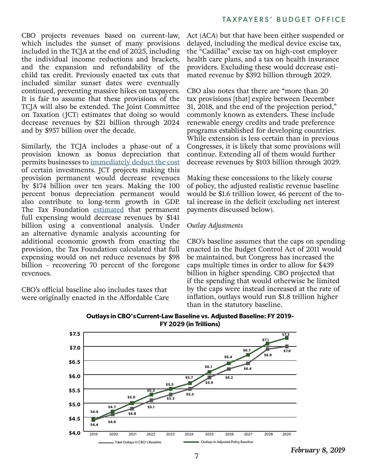CBO projects revenues based on current-law, which includes the sunset of many provisions included in the TCJA at the end of 2025, including the individual income reductions and brackets, and the expansion and refundability of the child tax credit. Previously enacted tax cuts that included similar sunset dates were eventually continued, preventing massive hikes on taxpayers. It is fair to assume that these provisions of the TCJA will also be extended. The Joint Committee on Taxation (JCT) estimates that doing so would decrease revenues by \$21 billion through 2024 and by \$957 billion over the decade.

Similarly, the TCJA includes a phase-out of a provision known as bonus depreciation that permits businesses to [immediately deduct the cost](https://www.ntu.org/foundation/detail/whats-the-deal-with-full-expensing) of certain investments. JCT projects making this provision permanent would decrease revenues by \$174 billion over ten years. Making the 100 percent bonus depreciation permanent would also contribute to long-term growth in GDP. The Tax Foundation [estimated](https://taxfoundation.org/tcja-expensing-provision-benefits/) that permanent full expensing would decrease revenues by \$141 billion using a conventional analysis. Under an alternative dynamic analysis accounting for additional economic growth from enacting the provision, the Tax Foundation calculated that full expensing would on net reduce revenues by \$98 billion - recovering 70 percent of the foregone revenues.

CBO's official baseline also includes taxes that were originally enacted in the Affordable Care

Act (ACA) but that have been either suspended or delayed, including the medical device excise tax, the "Cadillac" excise tax on high-cost employer health care plans, and a tax on health insurance providers. Excluding these would decrease estimated revenue by \$392 billion through 2029.

CBO also notes that there are "more than 20 tax provisions [that] expire between December 31, 2018, and the end of the projection period," commonly known as extenders. These include renewable energy credits and trade preference programs established for developing countries. While extension is less certain than in previous Congresses, it is likely that some provisions will continue. Extending all of them would further decrease revenues by \$103 billion through 2029.

Making these concessions to the likely course of policy, the adjusted realistic revenue baseline would be \$1.6 trillion lower, 46 percent of the total increase in the deficit (excluding net interest payments discussed below).

#### *Outlay Adjustments*

CBO's baseline assumes that the caps on spending enacted in the Budget Control Act of 2011 would be maintained, but Congress has increased the caps multiple times in order to allow for \$439 billion in higher spending. CBO projected that if the spending that would otherwise be limited by the caps were instead increased at the rate of inflation, outlays would run \$1.8 trillion higher than in the statutory baseline.



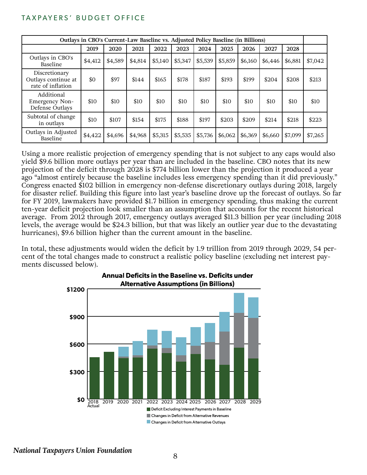#### TAXPAYERS' BUDGET OFFICE

| Outlays in CBO's Current-Law Baseline vs. Adjusted Policy Baseline (in Billions) |         |         |         |         |         |         |         |         |         |         |         |
|----------------------------------------------------------------------------------|---------|---------|---------|---------|---------|---------|---------|---------|---------|---------|---------|
|                                                                                  | 2019    | 2020    | 2021    | 2022    | 2023    | 2024    | 2025    | 2026    | 2027    | 2028    |         |
| Outlays in CBO's<br>Baseline                                                     | \$4,412 | \$4,589 | \$4,814 | \$5,140 | \$5,347 | \$5,539 | \$5,859 | \$6,160 | \$6,446 | \$6,881 | \$7,042 |
| Discretionary<br>Outlays continue at<br>rate of inflation                        | \$0     | \$97    | \$144   | \$165   | \$178   | \$187   | \$193   | \$199   | \$204   | \$208   | \$213   |
| Additional<br>Emergency Non-<br>Defense Outlays                                  | \$10    | \$10    | \$10    | \$10    | \$10    | \$10    | \$10    | \$10    | \$10    | \$10    | \$10    |
| Subtotal of change<br>in outlays                                                 | \$10    | \$107   | \$154   | \$175   | \$188   | \$197   | \$203   | \$209   | \$214   | \$218   | \$223   |
| Outlays in Adjusted<br>Baseline                                                  | \$4,422 | \$4,696 | \$4,968 | \$5,315 | \$5,535 | \$5,736 | \$6,062 | \$6,369 | \$6,660 | \$7,099 | \$7,265 |

Using a more realistic projection of emergency spending that is not subject to any caps would also yield \$9.6 billion more outlays per year than are included in the baseline. CBO notes that its new projection of the deficit through 2028 is \$774 billion lower than the projection it produced a year ago "almost entirely because the baseline includes less emergency spending than it did previously." Congress enacted \$102 billion in emergency non-defense discretionary outlays during 2018, largely for disaster relief. Building this figure into last year's baseline drove up the forecast of outlays. So far for FY 2019, lawmakers have provided \$1.7 billion in emergency spending, thus making the current ten-year deficit projection look smaller than an assumption that accounts for the recent historical average. From 2012 through 2017, emergency outlays averaged \$11.3 billion per year (including 2018 levels, the average would be \$24.3 billion, but that was likely an outlier year due to the devastating hurricanes), \$9.6 billion higher than the current amount in the baseline.

In total, these adjustments would widen the deficit by 1.9 trillion from 2019 through 2029, 54 percent of the total changes made to construct a realistic policy baseline (excluding net interest payments discussed below).



**Annual Deficits in the Baseline vs. Deficits under**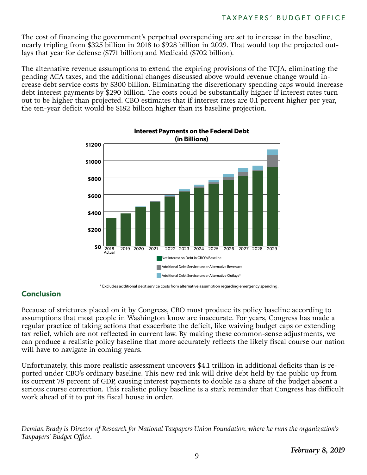The cost of financing the government's perpetual overspending are set to increase in the baseline, nearly tripling from \$325 billion in 2018 to \$928 billion in 2029. That would top the projected outlays that year for defense (\$771 billion) and Medicaid (\$702 billion).

The alternative revenue assumptions to extend the expiring provisions of the TCJA, eliminating the pending ACA taxes, and the additional changes discussed above would revenue change would increase debt service costs by \$300 billion. Eliminating the discretionary spending caps would increase debt interest payments by \$290 billion. The costs could be substantially higher if interest rates turn out to be higher than projected. CBO estimates that if interest rates are 0.1 percent higher per year, the ten-year deficit would be \$182 billion higher than its baseline projection.



<sup>\*</sup> Excludes additional debt service costs from alternative assumption regarding emergency spending.

#### **Conclusion**

Because of strictures placed on it by Congress, CBO must produce its policy baseline according to assumptions that most people in Washington know are inaccurate. For years, Congress has made a regular practice of taking actions that exacerbate the deficit, like waiving budget caps or extending tax relief, which are not reflected in current law. By making these common-sense adjustments, we can produce a realistic policy baseline that more accurately reflects the likely fiscal course our nation will have to navigate in coming years.

Unfortunately, this more realistic assessment uncovers \$4.1 trillion in additional deficits than is reported under CBO's ordinary baseline. This new red ink will drive debt held by the public up from its current 78 percent of GDP, causing interest payments to double as a share of the budget absent a serious course correction. This realistic policy baseline is a stark reminder that Congress has difficult work ahead of it to put its fiscal house in order.

*Demian Brady is Director of Research for National Taxpayers Union Foundation, where he runs the organization's Taxpayers' Budget Office.*